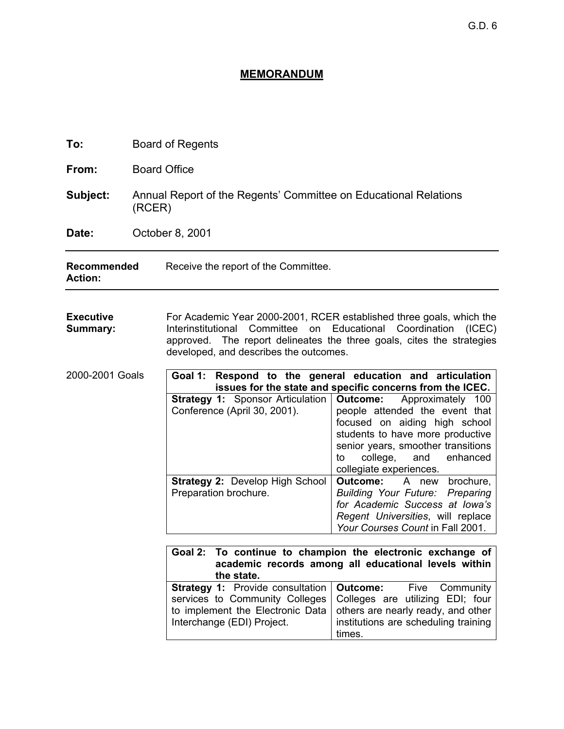## **MEMORANDUM**

| To:                                             | <b>Board of Regents</b>                                                    |                                                                                                                                                                                                                                                                                                                                        |                                                                                                                                                                                                                                            |  |
|-------------------------------------------------|----------------------------------------------------------------------------|----------------------------------------------------------------------------------------------------------------------------------------------------------------------------------------------------------------------------------------------------------------------------------------------------------------------------------------|--------------------------------------------------------------------------------------------------------------------------------------------------------------------------------------------------------------------------------------------|--|
| From:                                           | <b>Board Office</b>                                                        |                                                                                                                                                                                                                                                                                                                                        |                                                                                                                                                                                                                                            |  |
| Subject:                                        | Annual Report of the Regents' Committee on Educational Relations<br>(RCER) |                                                                                                                                                                                                                                                                                                                                        |                                                                                                                                                                                                                                            |  |
| Date:                                           | October 8, 2001                                                            |                                                                                                                                                                                                                                                                                                                                        |                                                                                                                                                                                                                                            |  |
| <b>Recommended</b><br><b>Action:</b>            |                                                                            | Receive the report of the Committee.                                                                                                                                                                                                                                                                                                   |                                                                                                                                                                                                                                            |  |
| <b>Executive</b><br>Summary:<br>2000-2001 Goals |                                                                            | For Academic Year 2000-2001, RCER established three goals, which the<br>Interinstitutional<br>Committee<br>Educational<br>Coordination<br>(ICEC)<br>on<br>approved. The report delineates the three goals, cites the strategies<br>developed, and describes the outcomes.<br>Goal 1: Respond to the general education and articulation |                                                                                                                                                                                                                                            |  |
|                                                 |                                                                            |                                                                                                                                                                                                                                                                                                                                        | issues for the state and specific concerns from the ICEC.                                                                                                                                                                                  |  |
|                                                 |                                                                            | <b>Strategy 1: Sponsor Articulation</b><br>Conference (April 30, 2001).                                                                                                                                                                                                                                                                | Approximately 100<br>Outcome:<br>people attended the event that<br>focused on aiding high school<br>students to have more productive<br>senior years, smoother transitions<br>college,<br>and<br>enhanced<br>to<br>collegiate experiences. |  |
|                                                 |                                                                            | Strategy 2: Develop High School<br>Preparation brochure.                                                                                                                                                                                                                                                                               | <b>Outcome:</b><br>A new<br>brochure,<br><b>Building Your Future: Preparing</b><br>for Academic Success at Iowa's<br>Regent Universities, will replace<br>Your Courses Count in Fall 2001.                                                 |  |
|                                                 |                                                                            |                                                                                                                                                                                                                                                                                                                                        |                                                                                                                                                                                                                                            |  |
|                                                 |                                                                            | Goal 2: To continue to champion the electronic exchange of<br>academic records among all educational levels within<br>the state.                                                                                                                                                                                                       |                                                                                                                                                                                                                                            |  |
|                                                 |                                                                            | Strategy 1: Provide consultation<br>services to Community Colleges<br>to implement the Electronic Data<br>Interchange (EDI) Project.                                                                                                                                                                                                   | Outcome:<br>Five<br>Community<br>Colleges are utilizing EDI; four<br>others are nearly ready, and other<br>institutions are scheduling training<br>times.                                                                                  |  |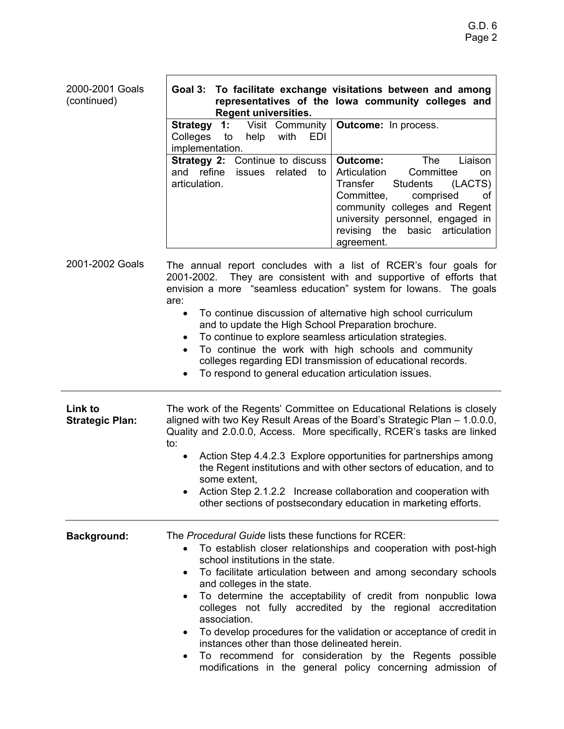| 2000-2001 Goals<br>(continued)           | Goal 3: To facilitate exchange visitations between and among<br>representatives of the lowa community colleges and<br><b>Regent universities.</b>                                                                                                                                                                                                                                                                                                                                                                                                                                                                                                                                                         |  |
|------------------------------------------|-----------------------------------------------------------------------------------------------------------------------------------------------------------------------------------------------------------------------------------------------------------------------------------------------------------------------------------------------------------------------------------------------------------------------------------------------------------------------------------------------------------------------------------------------------------------------------------------------------------------------------------------------------------------------------------------------------------|--|
|                                          | Visit Community<br><b>Strategy</b><br>$\cdot$ 1:<br><b>Outcome:</b> In process.<br>Colleges<br>to<br>help<br>with<br>EDI<br>implementation.<br><b>Strategy 2: Continue to discuss</b><br>Liaison<br><b>Outcome:</b><br><b>The</b><br>and refine<br>Articulation<br>Committee<br>related<br><b>issues</b><br>to<br>on<br>articulation.<br>Transfer<br>(LACTS)<br><b>Students</b><br>Committee.<br>comprised<br>οt<br>community colleges and Regent<br>university personnel, engaged in<br>the basic articulation<br>revising<br>agreement.                                                                                                                                                                 |  |
| 2001-2002 Goals                          | The annual report concludes with a list of RCER's four goals for<br>They are consistent with and supportive of efforts that<br>2001-2002.<br>envision a more "seamless education" system for lowans. The goals<br>are:<br>To continue discussion of alternative high school curriculum<br>$\bullet$<br>and to update the High School Preparation brochure.<br>To continue to explore seamless articulation strategies.<br>٠<br>To continue the work with high schools and community<br>$\bullet$<br>colleges regarding EDI transmission of educational records.<br>To respond to general education articulation issues.<br>$\bullet$                                                                      |  |
| <b>Link to</b><br><b>Strategic Plan:</b> | The work of the Regents' Committee on Educational Relations is closely<br>aligned with two Key Result Areas of the Board's Strategic Plan - 1.0.0.0,<br>Quality and 2.0.0.0, Access. More specifically, RCER's tasks are linked<br>to:<br>Action Step 4.4.2.3 Explore opportunities for partnerships among<br>$\bullet$<br>the Regent institutions and with other sectors of education, and to<br>some extent,<br>Action Step 2.1.2.2 Increase collaboration and cooperation with<br>other sections of postsecondary education in marketing efforts.                                                                                                                                                      |  |
| <b>Background:</b>                       | The Procedural Guide lists these functions for RCER:<br>To establish closer relationships and cooperation with post-high<br>school institutions in the state.<br>To facilitate articulation between and among secondary schools<br>$\bullet$<br>and colleges in the state.<br>To determine the acceptability of credit from nonpublic lowa<br>٠<br>colleges not fully accredited by the regional accreditation<br>association.<br>To develop procedures for the validation or acceptance of credit in<br>$\bullet$<br>instances other than those delineated herein.<br>To recommend for consideration by the Regents possible<br>$\bullet$<br>modifications in the general policy concerning admission of |  |